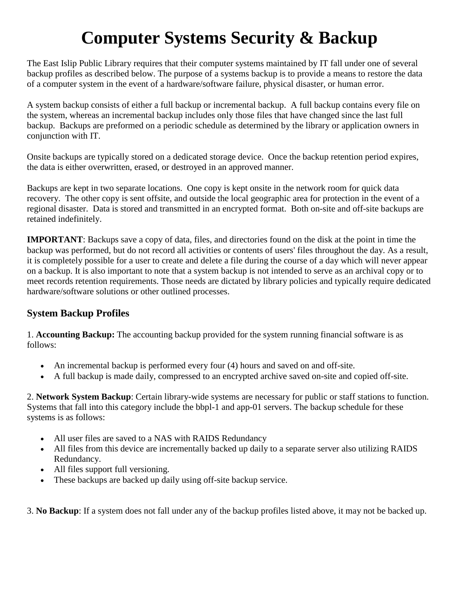# **Computer Systems Security & Backup**

The East Islip Public Library requires that their computer systems maintained by IT fall under one of several backup profiles as described below. The purpose of a systems backup is to provide a means to restore the data of a computer system in the event of a hardware/software failure, physical disaster, or human error.

A system backup consists of either a full backup or incremental backup. A full backup contains every file on the system, whereas an incremental backup includes only those files that have changed since the last full backup. Backups are preformed on a periodic schedule as determined by the library or application owners in conjunction with IT.

Onsite backups are typically stored on a dedicated storage device. Once the backup retention period expires, the data is either overwritten, erased, or destroyed in an approved manner.

Backups are kept in two separate locations. One copy is kept onsite in the network room for quick data recovery. The other copy is sent offsite, and outside the local geographic area for protection in the event of a regional disaster. Data is stored and transmitted in an encrypted format. Both on-site and off-site backups are retained indefinitely.

**IMPORTANT**: Backups save a copy of data, files, and directories found on the disk at the point in time the backup was performed, but do not record all activities or contents of users' files throughout the day. As a result, it is completely possible for a user to create and delete a file during the course of a day which will never appear on a backup. It is also important to note that a system backup is not intended to serve as an archival copy or to meet records retention requirements. Those needs are dictated by library policies and typically require dedicated hardware/software solutions or other outlined processes.

#### **System Backup Profiles**

1. **Accounting Backup:** The accounting backup provided for the system running financial software is as follows:

- An incremental backup is performed every four (4) hours and saved on and off-site.
- A full backup is made daily, compressed to an encrypted archive saved on-site and copied off-site.

2. **Network System Backup**: Certain library-wide systems are necessary for public or staff stations to function. Systems that fall into this category include the bbpl-1 and app-01 servers. The backup schedule for these systems is as follows:

- All user files are saved to a NAS with RAIDS Redundancy
- All files from this device are incrementally backed up daily to a separate server also utilizing RAIDS Redundancy.
- All files support full versioning.
- These backups are backed up daily using off-site backup service.

3. **No Backup**: If a system does not fall under any of the backup profiles listed above, it may not be backed up.